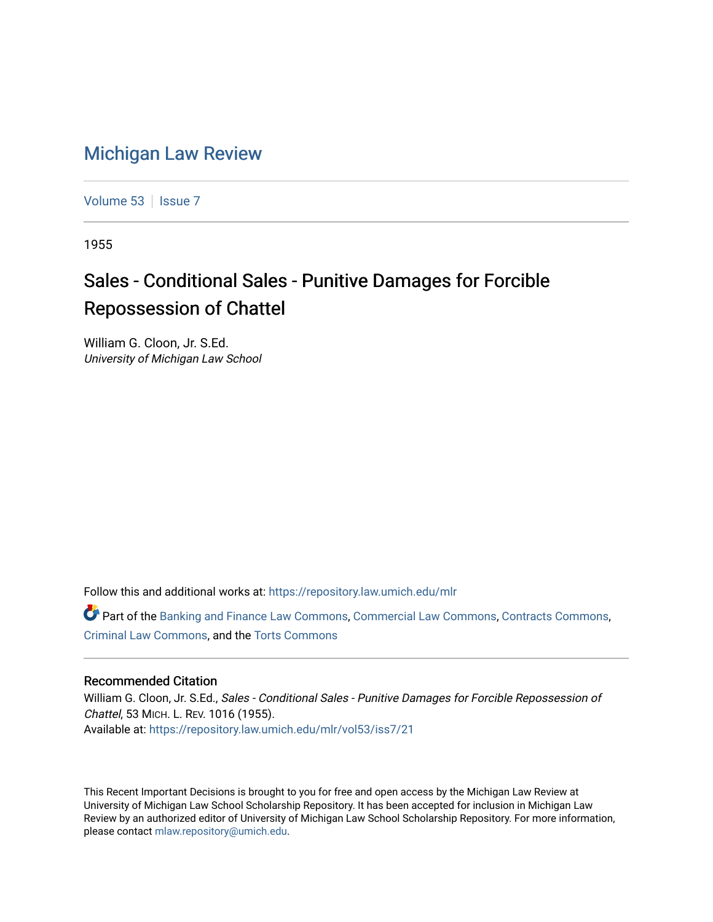## [Michigan Law Review](https://repository.law.umich.edu/mlr)

[Volume 53](https://repository.law.umich.edu/mlr/vol53) | [Issue 7](https://repository.law.umich.edu/mlr/vol53/iss7)

1955

## Sales - Conditional Sales - Punitive Damages for Forcible Repossession of Chattel

William G. Cloon, Jr. S.Ed. University of Michigan Law School

Follow this and additional works at: [https://repository.law.umich.edu/mlr](https://repository.law.umich.edu/mlr?utm_source=repository.law.umich.edu%2Fmlr%2Fvol53%2Fiss7%2F21&utm_medium=PDF&utm_campaign=PDFCoverPages) 

Part of the [Banking and Finance Law Commons,](http://network.bepress.com/hgg/discipline/833?utm_source=repository.law.umich.edu%2Fmlr%2Fvol53%2Fiss7%2F21&utm_medium=PDF&utm_campaign=PDFCoverPages) [Commercial Law Commons,](http://network.bepress.com/hgg/discipline/586?utm_source=repository.law.umich.edu%2Fmlr%2Fvol53%2Fiss7%2F21&utm_medium=PDF&utm_campaign=PDFCoverPages) [Contracts Commons,](http://network.bepress.com/hgg/discipline/591?utm_source=repository.law.umich.edu%2Fmlr%2Fvol53%2Fiss7%2F21&utm_medium=PDF&utm_campaign=PDFCoverPages) [Criminal Law Commons](http://network.bepress.com/hgg/discipline/912?utm_source=repository.law.umich.edu%2Fmlr%2Fvol53%2Fiss7%2F21&utm_medium=PDF&utm_campaign=PDFCoverPages), and the [Torts Commons](http://network.bepress.com/hgg/discipline/913?utm_source=repository.law.umich.edu%2Fmlr%2Fvol53%2Fiss7%2F21&utm_medium=PDF&utm_campaign=PDFCoverPages)

## Recommended Citation

William G. Cloon, Jr. S.Ed., Sales - Conditional Sales - Punitive Damages for Forcible Repossession of Chattel, 53 MICH. L. REV. 1016 (1955). Available at: [https://repository.law.umich.edu/mlr/vol53/iss7/21](https://repository.law.umich.edu/mlr/vol53/iss7/21?utm_source=repository.law.umich.edu%2Fmlr%2Fvol53%2Fiss7%2F21&utm_medium=PDF&utm_campaign=PDFCoverPages) 

This Recent Important Decisions is brought to you for free and open access by the Michigan Law Review at University of Michigan Law School Scholarship Repository. It has been accepted for inclusion in Michigan Law Review by an authorized editor of University of Michigan Law School Scholarship Repository. For more information, please contact [mlaw.repository@umich.edu.](mailto:mlaw.repository@umich.edu)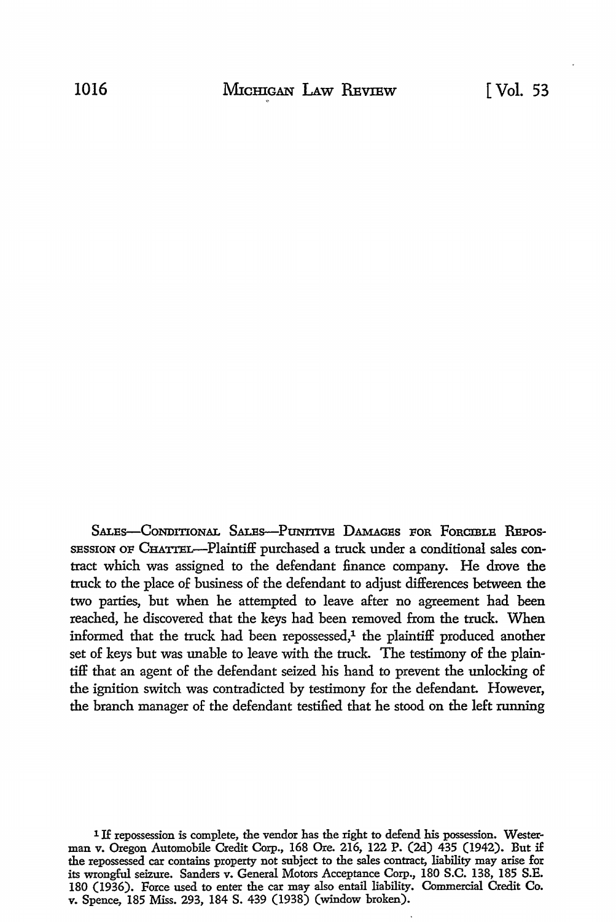SALES-CONDITIONAL SALES-PUNITIVE DAMAGES FOR FORCIBLE REPOS-SBSSION OF CHATTEL-Plaintiff purchased a truck under a conditional sales contract which was assigned to the defendant finance company. **He drove the**  truck to the place of business of the defendant to adjust differences between the two parties, but when he attempted to leave after no agreement had been reached, he discovered that the keys had been removed from the truck. When informed that the truck had been repossessed,<sup>1</sup> the plaintiff produced another set of keys but was unable to leave with the truck. The testimony of the plaintiff that an agent of the defendant seized his hand to prevent the unlocking of the ignition switch was contradicted by testimony for the defendant. However, the branch manager of the defendant testified that he stood on the left running

<sup>1</sup> If repossession is complete, the vendor has the right to defend his possession. Westerman v. Oregon Automobile Credit Corp., 168 Ore. 216, 122 P. (2d) 435 (1942). But if the repossessed car contains property not subject to the sales contract, liability may arise for its wrongful seizure. Sanders v. General Motors Acceptance Corp., 180 S.C. 138, 185 S.E. 180 (1936). Force used to enter the car may also entail liability. Commercial Credit Co. v. Spence, 185 Miss. 293, 184 S. 439 (1938) (window broken).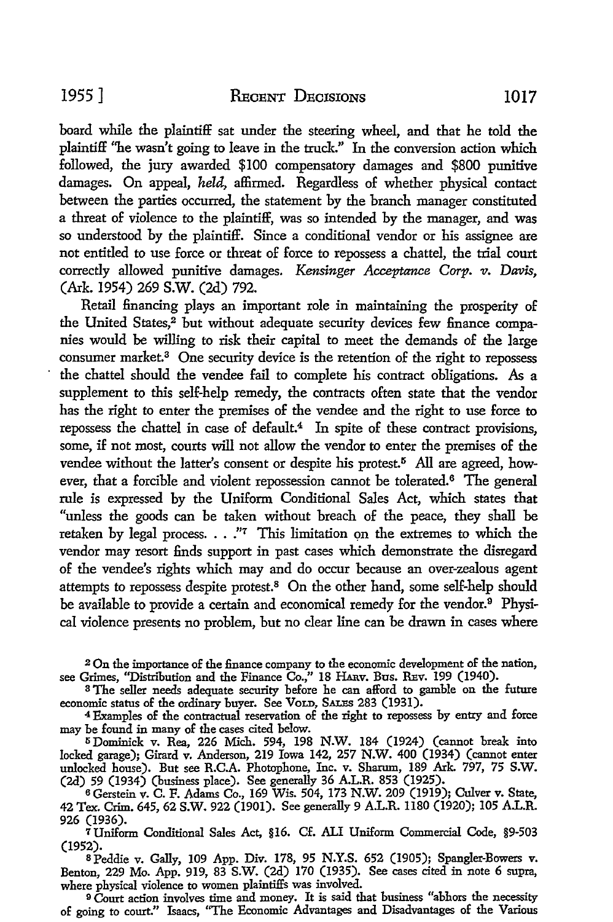board while the plaintiff sat under the steering wheel, and that he told the plaintiff ''he wasn't going to leave in the truck.'' In the conversion action which followed, the jury awarded \$100 compensatory damages and \$800 punitive damages. On appeal, *held,* affirmed. Regardless of whether physical contact between the parties occurred, the statement by the branch manager constituted

a threat of violence *to* the plaintiff, was so intended by the manager, and was so understood by the plaintiff. Since a conditional vendor or his assignee are not entitled *to* use force or threat of force *to* repossess a chattel, the trial court correctly allowed punitive damages. *Kensinger Acceptance Corp. v. Daws,*  (Ark. 1954) 269 S.W. (2d) 792.

Retail financing plays an important role in maintaining the prosperity of the United States,<sup>2</sup> but without adequate security devices few finance companies would be willing to risk their capital to meet the demands of the large consumer market.<sup>3</sup> One security device is the retention of the right to repossess the chattel should the vendee fail *to* complete his contract obligations. As a supplement to this self-help remedy, the contracts often state that the vendor has the right *to* enter the premises of the vendee and the right *to* use force *to*  repossess the chattel in case of default.<sup>4</sup> In spite of these contract provisions, some, if not most, courts will not allow the vendor *to* enter the premises of the vendee without the latter's consent or despite his protest.<sup>5</sup> All are agreed, however, that a forcible and violent repossession cannot be tolerated.<sup>6</sup> The general rule is expressed by the Uniform Conditional Sales Act, which states that "unless the goods can be taken without breach of the peace, they shall be retaken by legal process. . . ."<sup>7</sup> This limitation on the extremes to which the vendor may resort finds support in past cases which demonstrate the disregard of the vendee's rights which may and do occur because an over-zealous agent attempts to repossess despite protest.8 On the other hand, some self-help should he available to provide a certain and economical remedy for the vendor.9 Physical violence presents no problem, but no clear line can be drawn in cases where

<sup>2</sup>On the importance of the finance company to the economic development of the nation, see Grimes, "Distribution and the Finance Co.," 18 HARV. Bus. REV. 199 (1940).

<sup>3</sup>The seller needs adequate security before he can afford to gamble on the future economic status of the ordinary buyer. See VoLD, SALES 283 (1931).

<sup>4</sup>Examples of the contractual reservation of the right to repossess by entry and force may be found in many of the cases cited below.

<sup>5</sup>Dominick v. Rea, 226 Mich. 594, 198 N.W. 184 (1924) (cannot break into locked garage); Girard v. Anderson, 219 Iowa 142, 257 N.W. 400 (1934) (cannot enter unlocked house). But see R.C.A. Photophone, Inc. v. Sharum, 189 Ark. 797, 75 **S.W.**  (2d) 59 (1934) (business place). See generally 36 A.L.R. 853 (1925).

<sup>6</sup>Gerstein v. C. F. Adams Co., 169 Wis. 504, 173 N.W. 209 (1919); Culver v. State, 42 Tex. Crim. 645, 62 S.W. 922 (1901). See generally 9 A.L.R. 1180 (1920); 105 A.L.R. 926 (1936).

*1* Uniform Conditional Sales Act, §16. Cf. ALI Uniform Commercial Code, §9-503

(1952). s Peddie v. Gally, 109 App. Div. 178, 95 N.Y.S. 652 (1905); Spangler-Bowers v. Benton, 229 Mo. App. 919, 83 S.W. (2d) 170 (1935). See cases cited in note 6 supra, where physical violence to women plaintiffs was involved.

9 Court action involves time and money. It is said that business "abhors the necessity of going to court." Isaacs, "The Economic Advantages and Disadvantages of the Various